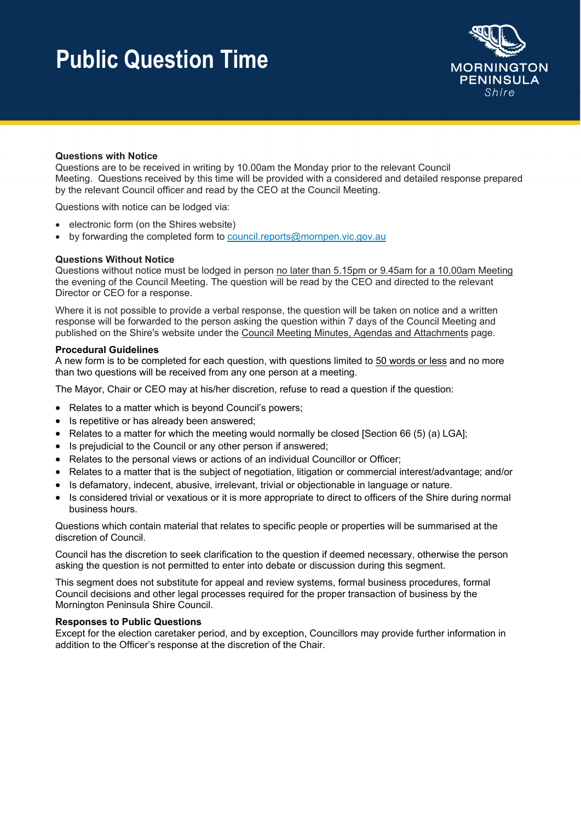## **Public Question Time**



## **Questions with Notice**

Questions are to be received in writing by 10.00am the Monday prior to the relevant Council Meeting. Questions received by this time will be provided with a considered and detailed response prepared by the relevant Council officer and read by the CEO at the Council Meeting.

Questions with notice can be lodged via:

- electronic form (on the Shires website)
- $\bullet$  by forwarding the completed form to council.reports@mornpen.vic.gov.au

### **Questions Without Notice**

Questions without notice must be lodged in person no later than 5.15pm or 9.45am for a 10.00am Meeting the evening of the Council Meeting. The question will be read by the CEO and directed to the relevant Director or CEO for a response.

Where it is not possible to provide a verbal response, the question will be taken on notice and a written response will be forwarded to the person asking the question within 7 days of the Council Meeting and published on the Shire's website under the Council Meeting Minutes, Agendas and Attachments page.

#### **Procedural Guidelines**

A new form is to be completed for each question, with questions limited to 50 words or less and no more than two questions will be received from any one person at a meeting.

The Mayor, Chair or CEO may at his/her discretion, refuse to read a question if the question:

- Relates to a matter which is beyond Council's powers;
- Is repetitive or has already been answered;
- Relates to a matter for which the meeting would normally be closed [Section 66 (5) (a) LGA];
- Is prejudicial to the Council or any other person if answered:
- Relates to the personal views or actions of an individual Councillor or Officer;
- Relates to a matter that is the subject of negotiation, litigation or commercial interest/advantage; and/or
- Is defamatory, indecent, abusive, irrelevant, trivial or objectionable in language or nature.
- Is considered trivial or vexatious or it is more appropriate to direct to officers of the Shire during normal business hours.

Questions which contain material that relates to specific people or properties will be summarised at the discretion of Council.

Council has the discretion to seek clarification to the question if deemed necessary, otherwise the person asking the question is not permitted to enter into debate or discussion during this segment.

This segment does not substitute for appeal and review systems, formal business procedures, formal Council decisions and other legal processes required for the proper transaction of business by the Mornington Peninsula Shire Council.

#### **Responses to Public Questions**

Except for the election caretaker period, and by exception, Councillors may provide further information in addition to the Officer's response at the discretion of the Chair.